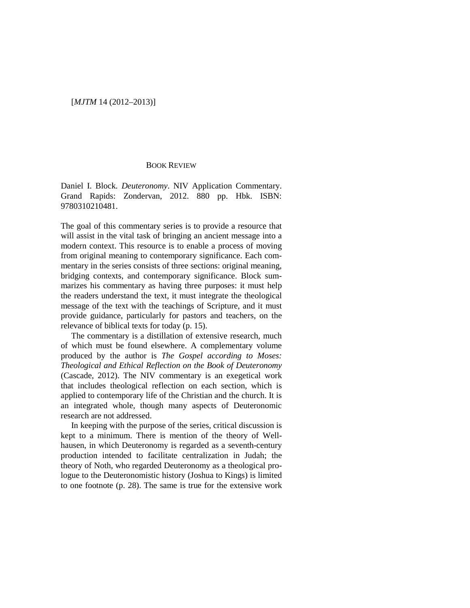## [*MJTM* 14 (2012–2013)]

## BOOK REVIEW

Daniel I. Block. *Deuteronomy*. NIV Application Commentary. Grand Rapids: Zondervan, 2012. 880 pp. Hbk. ISBN: 9780310210481.

The goal of this commentary series is to provide a resource that will assist in the vital task of bringing an ancient message into a modern context. This resource is to enable a process of moving from original meaning to contemporary significance. Each commentary in the series consists of three sections: original meaning, bridging contexts, and contemporary significance. Block summarizes his commentary as having three purposes: it must help the readers understand the text, it must integrate the theological message of the text with the teachings of Scripture, and it must provide guidance, particularly for pastors and teachers, on the relevance of biblical texts for today (p. 15).

The commentary is a distillation of extensive research, much of which must be found elsewhere. A complementary volume produced by the author is *The Gospel according to Moses: Theological and Ethical Reflection on the Book of Deuteronomy* (Cascade, 2012). The NIV commentary is an exegetical work that includes theological reflection on each section, which is applied to contemporary life of the Christian and the church. It is an integrated whole, though many aspects of Deuteronomic research are not addressed.

In keeping with the purpose of the series, critical discussion is kept to a minimum. There is mention of the theory of Wellhausen, in which Deuteronomy is regarded as a seventh-century production intended to facilitate centralization in Judah; the theory of Noth, who regarded Deuteronomy as a theological prologue to the Deuteronomistic history (Joshua to Kings) is limited to one footnote (p. 28). The same is true for the extensive work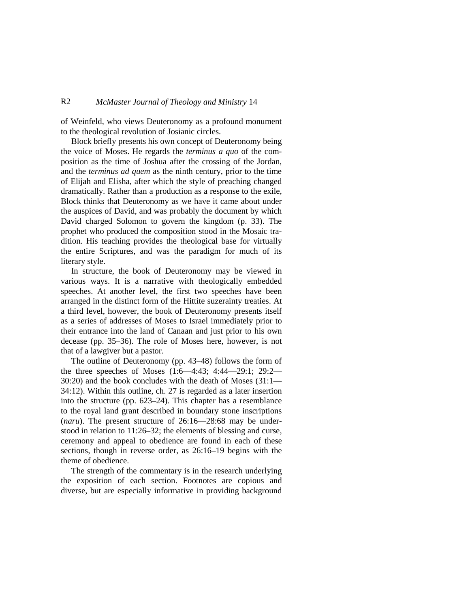## R2 *McMaster Journal of Theology and Ministry* 14

of Weinfeld, who views Deuteronomy as a profound monument to the theological revolution of Josianic circles.

Block briefly presents his own concept of Deuteronomy being the voice of Moses. He regards the *terminus a quo* of the composition as the time of Joshua after the crossing of the Jordan, and the *terminus ad quem* as the ninth century, prior to the time of Elijah and Elisha, after which the style of preaching changed dramatically. Rather than a production as a response to the exile, Block thinks that Deuteronomy as we have it came about under the auspices of David, and was probably the document by which David charged Solomon to govern the kingdom (p. 33). The prophet who produced the composition stood in the Mosaic tradition. His teaching provides the theological base for virtually the entire Scriptures, and was the paradigm for much of its literary style.

In structure, the book of Deuteronomy may be viewed in various ways. It is a narrative with theologically embedded speeches. At another level, the first two speeches have been arranged in the distinct form of the Hittite suzerainty treaties. At a third level, however, the book of Deuteronomy presents itself as a series of addresses of Moses to Israel immediately prior to their entrance into the land of Canaan and just prior to his own decease (pp. 35–36). The role of Moses here, however, is not that of a lawgiver but a pastor.

The outline of Deuteronomy (pp. 43–48) follows the form of the three speeches of Moses (1:6—4:43; 4:44—29:1; 29:2— 30:20) and the book concludes with the death of Moses (31:1— 34:12). Within this outline, ch. 27 is regarded as a later insertion into the structure (pp. 623–24). This chapter has a resemblance to the royal land grant described in boundary stone inscriptions (*naru*). The present structure of 26:16—28:68 may be understood in relation to 11:26–32; the elements of blessing and curse, ceremony and appeal to obedience are found in each of these sections, though in reverse order, as 26:16–19 begins with the theme of obedience.

The strength of the commentary is in the research underlying the exposition of each section. Footnotes are copious and diverse, but are especially informative in providing background